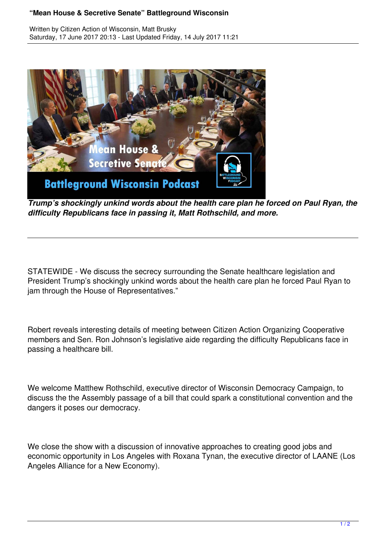## **"Mean House & Secretive Senate" Battleground Wisconsin**

Written by Citizen Action of Wisconsin, Matt Brusky Saturday, 17 June 2017 20:13 - Last Updated Friday, 14 July 2017 11:21



*Trump's shockingly unkind words about the health care plan he forced on Paul Ryan, the difficulty Republicans face in passing it, Matt Rothschild, and more.*

STATEWIDE - We discuss the secrecy surrounding the Senate healthcare legislation and President Trump's shockingly unkind words about the health care plan he forced Paul Ryan to jam through the House of Representatives."

Robert reveals interesting details of meeting between Citizen Action Organizing Cooperative members and Sen. Ron Johnson's legislative aide regarding the difficulty Republicans face in passing a healthcare bill.

We welcome Matthew Rothschild, executive director of Wisconsin Democracy Campaign, to discuss the the Assembly passage of a bill that could spark a constitutional convention and the dangers it poses our democracy.

We close the show with a discussion of innovative approaches to creating good jobs and economic opportunity in Los Angeles with Roxana Tynan, the executive director of LAANE (Los Angeles Alliance for a New Economy).